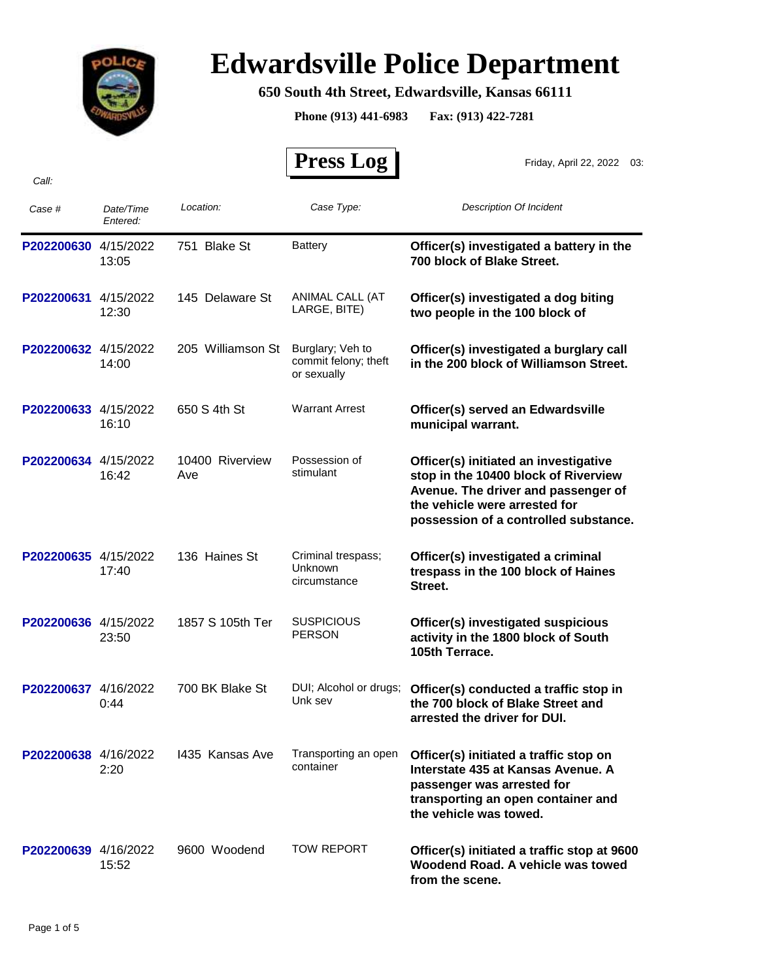

## **Edwardsville Police Department**

## **650 South 4th Street, Edwardsville, Kansas 66111**

**Phone (913) 441-6983 Fax: (913) 422-7281**

 **Press Log** 

Friday, April 22, 2022 03:

| Case #               | Date/Time<br>Entered: | Location:              | Case Type:                                              | Description Of Incident                                                                                                                                                                        |
|----------------------|-----------------------|------------------------|---------------------------------------------------------|------------------------------------------------------------------------------------------------------------------------------------------------------------------------------------------------|
| P202200630           | 4/15/2022<br>13:05    | 751 Blake St           | <b>Battery</b>                                          | Officer(s) investigated a battery in the<br>700 block of Blake Street.                                                                                                                         |
| P202200631 4/15/2022 | 12:30                 | 145 Delaware St        | ANIMAL CALL (AT<br>LARGE, BITE)                         | Officer(s) investigated a dog biting<br>two people in the 100 block of                                                                                                                         |
| P202200632 4/15/2022 | 14:00                 | 205 Williamson St      | Burglary; Veh to<br>commit felony; theft<br>or sexually | Officer(s) investigated a burglary call<br>in the 200 block of Williamson Street.                                                                                                              |
| P202200633 4/15/2022 | 16:10                 | 650 S 4th St           | <b>Warrant Arrest</b>                                   | Officer(s) served an Edwardsville<br>municipal warrant.                                                                                                                                        |
| P202200634 4/15/2022 | 16:42                 | 10400 Riverview<br>Ave | Possession of<br>stimulant                              | Officer(s) initiated an investigative<br>stop in the 10400 block of Riverview<br>Avenue. The driver and passenger of<br>the vehicle were arrested for<br>possession of a controlled substance. |
| P202200635 4/15/2022 | 17:40                 | 136 Haines St          | Criminal trespass;<br>Unknown<br>circumstance           | Officer(s) investigated a criminal<br>trespass in the 100 block of Haines<br>Street.                                                                                                           |
| P202200636 4/15/2022 | 23:50                 | 1857 S 105th Ter       | <b>SUSPICIOUS</b><br><b>PERSON</b>                      | Officer(s) investigated suspicious<br>activity in the 1800 block of South<br>105th Terrace.                                                                                                    |
| P202200637 4/16/2022 | 0:44                  | 700 BK Blake St        | DUI; Alcohol or drugs;<br>Unk sev                       | Officer(s) conducted a traffic stop in<br>the 700 block of Blake Street and<br>arrested the driver for DUI.                                                                                    |
| P202200638 4/16/2022 | 2:20                  | 1435 Kansas Ave        | Transporting an open<br>container                       | Officer(s) initiated a traffic stop on<br>Interstate 435 at Kansas Avenue. A<br>passenger was arrested for<br>transporting an open container and<br>the vehicle was towed.                     |
| P202200639 4/16/2022 | 15:52                 | 9600 Woodend           | <b>TOW REPORT</b>                                       | Officer(s) initiated a traffic stop at 9600<br>Woodend Road. A vehicle was towed<br>from the scene.                                                                                            |

 $\blacksquare$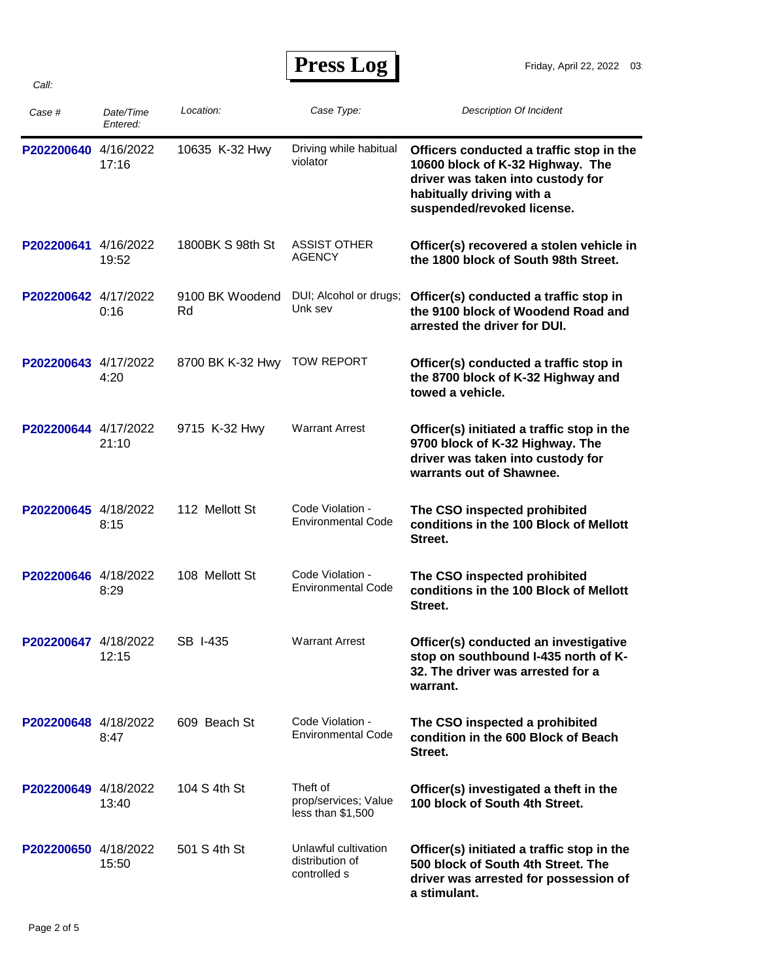## **Press Log**

| Case #               | Date/Time<br>Entered: | Location:             | Case Type:                                              | <b>Description Of Incident</b>                                                                                                                                               |
|----------------------|-----------------------|-----------------------|---------------------------------------------------------|------------------------------------------------------------------------------------------------------------------------------------------------------------------------------|
| P202200640           | 4/16/2022<br>17:16    | 10635 K-32 Hwy        | Driving while habitual<br>violator                      | Officers conducted a traffic stop in the<br>10600 block of K-32 Highway. The<br>driver was taken into custody for<br>habitually driving with a<br>suspended/revoked license. |
| P202200641           | 4/16/2022<br>19:52    | 1800BK S 98th St      | <b>ASSIST OTHER</b><br><b>AGENCY</b>                    | Officer(s) recovered a stolen vehicle in<br>the 1800 block of South 98th Street.                                                                                             |
| P202200642 4/17/2022 | 0:16                  | 9100 BK Woodend<br>Rd | DUI; Alcohol or drugs;<br>Unk sev                       | Officer(s) conducted a traffic stop in<br>the 9100 block of Woodend Road and<br>arrested the driver for DUI.                                                                 |
| P202200643 4/17/2022 | 4:20                  | 8700 BK K-32 Hwy      | <b>TOW REPORT</b>                                       | Officer(s) conducted a traffic stop in<br>the 8700 block of K-32 Highway and<br>towed a vehicle.                                                                             |
| P202200644 4/17/2022 | 21:10                 | 9715 K-32 Hwy         | <b>Warrant Arrest</b>                                   | Officer(s) initiated a traffic stop in the<br>9700 block of K-32 Highway. The<br>driver was taken into custody for<br>warrants out of Shawnee.                               |
| P202200645 4/18/2022 | 8:15                  | 112 Mellott St        | Code Violation -<br><b>Environmental Code</b>           | The CSO inspected prohibited<br>conditions in the 100 Block of Mellott<br>Street.                                                                                            |
| P202200646 4/18/2022 | 8:29                  | 108 Mellott St        | Code Violation -<br><b>Environmental Code</b>           | The CSO inspected prohibited<br>conditions in the 100 Block of Mellott<br>Street.                                                                                            |
| P202200647 4/18/2022 | 12:15                 | SB I-435              | <b>Warrant Arrest</b>                                   | Officer(s) conducted an investigative<br>stop on southbound I-435 north of K-<br>32. The driver was arrested for a<br>warrant.                                               |
| P202200648 4/18/2022 | 8:47                  | 609 Beach St          | Code Violation -<br><b>Environmental Code</b>           | The CSO inspected a prohibited<br>condition in the 600 Block of Beach<br>Street.                                                                                             |
| P202200649 4/18/2022 | 13:40                 | 104 S 4th St          | Theft of<br>prop/services; Value<br>less than \$1,500   | Officer(s) investigated a theft in the<br>100 block of South 4th Street.                                                                                                     |
| P202200650 4/18/2022 | 15:50                 | 501 S 4th St          | Unlawful cultivation<br>distribution of<br>controlled s | Officer(s) initiated a traffic stop in the<br>500 block of South 4th Street. The<br>driver was arrested for possession of<br>a stimulant.                                    |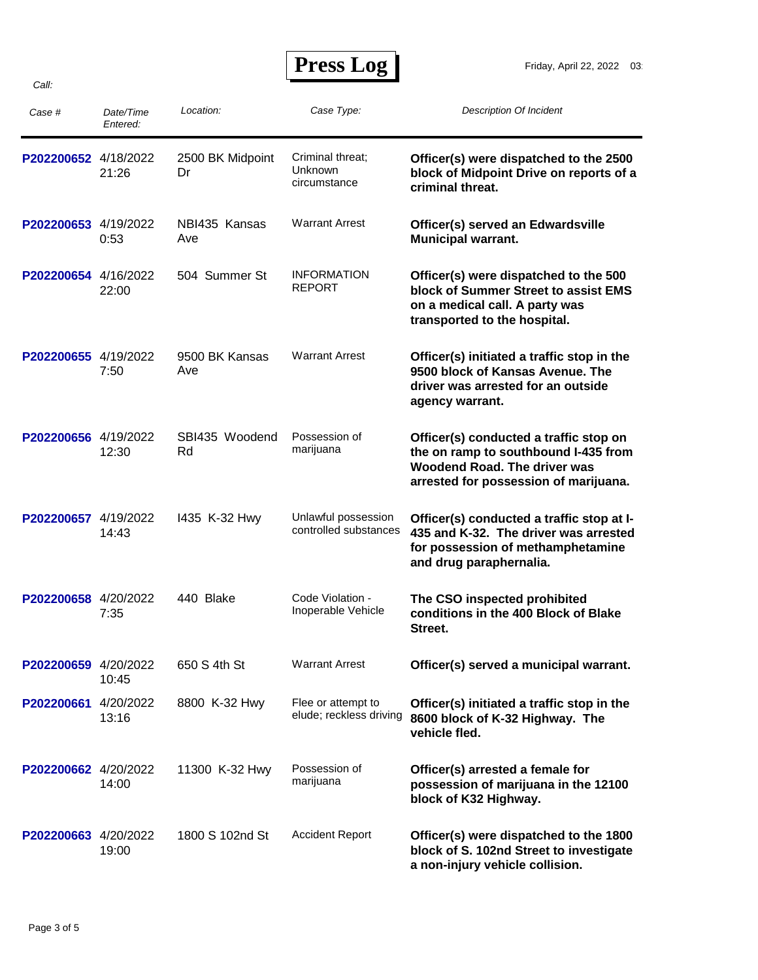## **Press Log**

| Case #               | Date/Time<br>Entered: | Location:              | Case Type:                                    | <b>Description Of Incident</b>                                                                                                                          |
|----------------------|-----------------------|------------------------|-----------------------------------------------|---------------------------------------------------------------------------------------------------------------------------------------------------------|
| P202200652 4/18/2022 | 21:26                 | 2500 BK Midpoint<br>Dr | Criminal threat;<br>Unknown<br>circumstance   | Officer(s) were dispatched to the 2500<br>block of Midpoint Drive on reports of a<br>criminal threat.                                                   |
| P202200653 4/19/2022 | 0:53                  | NBI435 Kansas<br>Ave   | <b>Warrant Arrest</b>                         | Officer(s) served an Edwardsville<br><b>Municipal warrant.</b>                                                                                          |
| P202200654 4/16/2022 | 22:00                 | 504 Summer St          | <b>INFORMATION</b><br><b>REPORT</b>           | Officer(s) were dispatched to the 500<br>block of Summer Street to assist EMS<br>on a medical call. A party was<br>transported to the hospital.         |
| P202200655 4/19/2022 | 7:50                  | 9500 BK Kansas<br>Ave  | <b>Warrant Arrest</b>                         | Officer(s) initiated a traffic stop in the<br>9500 block of Kansas Avenue. The<br>driver was arrested for an outside<br>agency warrant.                 |
| P202200656 4/19/2022 | 12:30                 | SBI435 Woodend<br>Rd   | Possession of<br>marijuana                    | Officer(s) conducted a traffic stop on<br>the on ramp to southbound I-435 from<br>Woodend Road. The driver was<br>arrested for possession of marijuana. |
| P202200657 4/19/2022 | 14:43                 | 1435 K-32 Hwy          | Unlawful possession<br>controlled substances  | Officer(s) conducted a traffic stop at I-<br>435 and K-32. The driver was arrested<br>for possession of methamphetamine<br>and drug paraphernalia.      |
| P202200658 4/20/2022 | 7:35                  | 440 Blake              | Code Violation -<br>Inoperable Vehicle        | The CSO inspected prohibited<br>conditions in the 400 Block of Blake<br>Street.                                                                         |
| P202200659 4/20/2022 | 10:45                 | 650 S 4th St           | <b>Warrant Arrest</b>                         | Officer(s) served a municipal warrant.                                                                                                                  |
| P202200661           | 4/20/2022<br>13:16    | 8800 K-32 Hwy          | Flee or attempt to<br>elude; reckless driving | Officer(s) initiated a traffic stop in the<br>8600 block of K-32 Highway. The<br>vehicle fled.                                                          |
| P202200662 4/20/2022 | 14:00                 | 11300 K-32 Hwy         | Possession of<br>marijuana                    | Officer(s) arrested a female for<br>possession of marijuana in the 12100<br>block of K32 Highway.                                                       |
| P202200663 4/20/2022 | 19:00                 | 1800 S 102nd St        | <b>Accident Report</b>                        | Officer(s) were dispatched to the 1800<br>block of S. 102nd Street to investigate<br>a non-injury vehicle collision.                                    |

*Call:*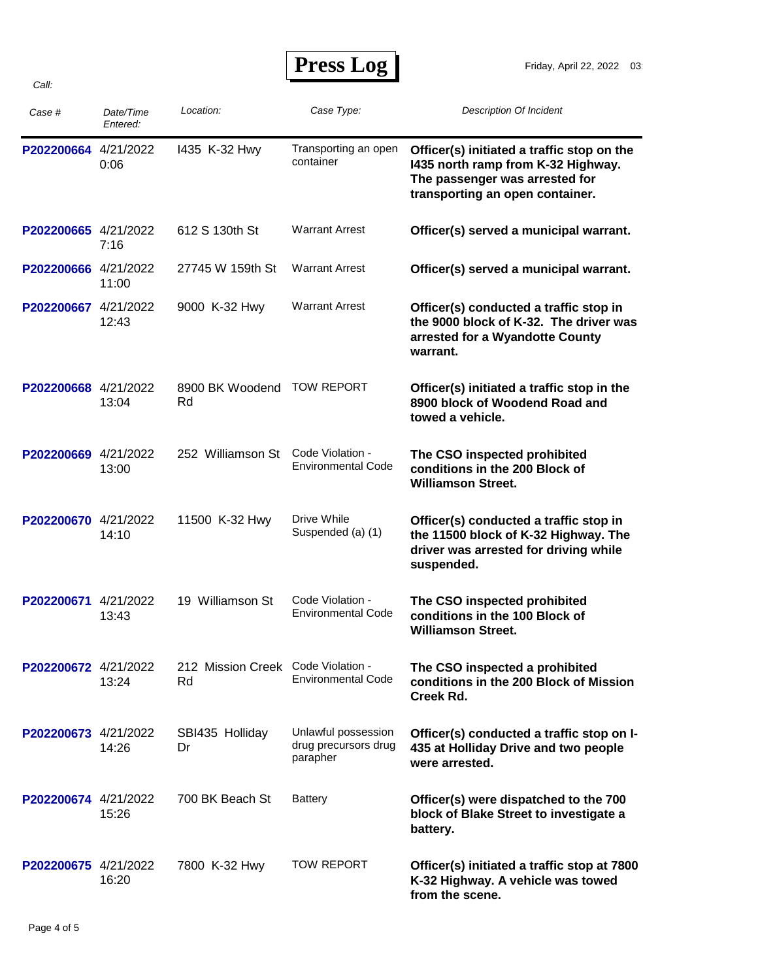| Press Log |  |
|-----------|--|
|-----------|--|

| Case #               | Date/Time<br>Entered: | Location:                                | Case Type:                                              | <b>Description Of Incident</b>                                                                                                                        |
|----------------------|-----------------------|------------------------------------------|---------------------------------------------------------|-------------------------------------------------------------------------------------------------------------------------------------------------------|
| P202200664           | 4/21/2022<br>0:06     | 1435 K-32 Hwy                            | Transporting an open<br>container                       | Officer(s) initiated a traffic stop on the<br>1435 north ramp from K-32 Highway.<br>The passenger was arrested for<br>transporting an open container. |
| P202200665 4/21/2022 | 7:16                  | 612 S 130th St                           | <b>Warrant Arrest</b>                                   | Officer(s) served a municipal warrant.                                                                                                                |
| P202200666 4/21/2022 | 11:00                 | 27745 W 159th St                         | <b>Warrant Arrest</b>                                   | Officer(s) served a municipal warrant.                                                                                                                |
| P202200667 4/21/2022 | 12:43                 | 9000 K-32 Hwy                            | <b>Warrant Arrest</b>                                   | Officer(s) conducted a traffic stop in<br>the 9000 block of K-32. The driver was<br>arrested for a Wyandotte County<br>warrant.                       |
| P202200668 4/21/2022 | 13:04                 | 8900 BK Woodend<br>Rd                    | <b>TOW REPORT</b>                                       | Officer(s) initiated a traffic stop in the<br>8900 block of Woodend Road and<br>towed a vehicle.                                                      |
| P202200669 4/21/2022 | 13:00                 | 252 Williamson St                        | Code Violation -<br><b>Environmental Code</b>           | The CSO inspected prohibited<br>conditions in the 200 Block of<br><b>Williamson Street.</b>                                                           |
| P202200670 4/21/2022 | 14:10                 | 11500 K-32 Hwy                           | Drive While<br>Suspended (a) (1)                        | Officer(s) conducted a traffic stop in<br>the 11500 block of K-32 Highway. The<br>driver was arrested for driving while<br>suspended.                 |
| P202200671           | 4/21/2022<br>13:43    | 19 Williamson St                         | Code Violation -<br><b>Environmental Code</b>           | The CSO inspected prohibited<br>conditions in the 100 Block of<br><b>Williamson Street.</b>                                                           |
| P202200672 4/21/2022 | 13:24                 | 212 Mission Creek Code Violation -<br>Rd | <b>Environmental Code</b>                               | The CSO inspected a prohibited<br>conditions in the 200 Block of Mission<br>Creek Rd.                                                                 |
| P202200673 4/21/2022 | 14:26                 | SBI435 Holliday<br>Dr                    | Unlawful possession<br>drug precursors drug<br>parapher | Officer(s) conducted a traffic stop on I-<br>435 at Holliday Drive and two people<br>were arrested.                                                   |
| P202200674 4/21/2022 | 15:26                 | 700 BK Beach St                          | <b>Battery</b>                                          | Officer(s) were dispatched to the 700<br>block of Blake Street to investigate a<br>battery.                                                           |
| P202200675 4/21/2022 | 16:20                 | 7800 K-32 Hwy                            | <b>TOW REPORT</b>                                       | Officer(s) initiated a traffic stop at 7800<br>K-32 Highway. A vehicle was towed<br>from the scene.                                                   |

*Call:*